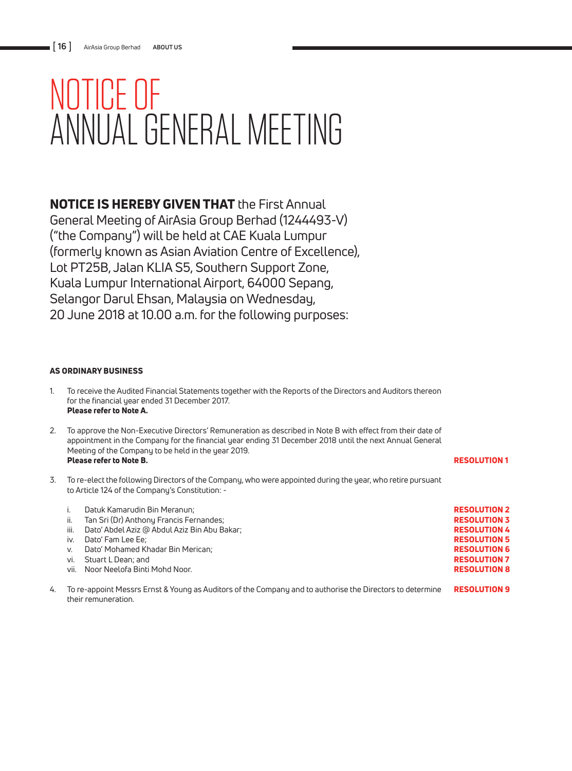# NOTICE OF ANNUAL GENERAL MEETING

NOTICE IS HEREBY GIVEN THAT the First Annual

General Meeting of AirAsia Group Berhad (1244493-V) ("the Company") will be held at CAE Kuala Lumpur (formerly known as Asian Aviation Centre of Excellence), Lot PT25B, Jalan KLIA S5, Southern Support Zone, Kuala Lumpur International Airport, 64000 Sepang, Selangor Darul Ehsan, Malaysia on Wednesday, 20 June 2018 at 10.00 a.m. for the following purposes:

### AS ORDINARY BUSINESS

- 1. To receive the Audited Financial Statements together with the Reports of the Directors and Auditors thereon for the financial year ended 31 December 2017. Please refer to Note A.
- 2. To approve the Non-Executive Directors' Remuneration as described in Note B with effect from their date of appointment in the Company for the financial year ending 31 December 2018 until the next Annual General Meeting of the Company to be held in the year 2019. Please refer to Note B.
- 3. To re-elect the following Directors of the Company, who were appointed during the year, who retire pursuant to Article 124 of the Company's Constitution: -

| <b>RESOLUTION 2</b> |
|---------------------|
| <b>RESOLUTION 3</b> |
| <b>RESOLUTION 4</b> |
| <b>RESOLUTION 5</b> |
| <b>RESOLUTION 6</b> |
| <b>RESOLUTION 7</b> |
| <b>RESOLUTION 8</b> |
|                     |
|                     |

RESOLUTION 1

4. To re-appoint Messrs Ernst & Young as Auditors of the Company and to authorise the Directors to determine RESOLUTION 9 their remuneration.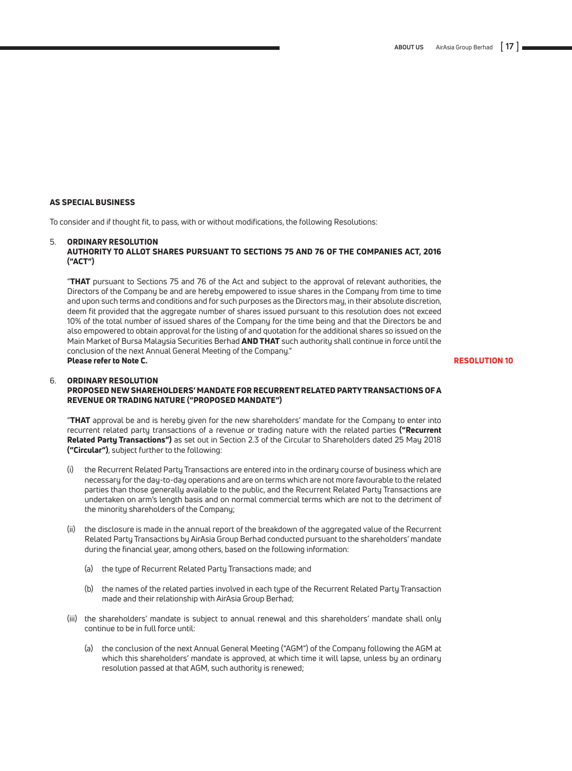#### AS SPECIAL BUSINESS

To consider and if thought fit, to pass, with or without modifications, the following Resolutions:

#### 5. ORDINARY RESOLUTION AUTHORITY TO ALLOT SHARES PURSUANT TO SECTIONS 75 AND 76 OF THE COMPANIES ACT, 2016 ("ACT")

 "THAT pursuant to Sections 75 and 76 of the Act and subject to the approval of relevant authorities, the Directors of the Company be and are hereby empowered to issue shares in the Company from time to time and upon such terms and conditions and for such purposes as the Directors may, in their absolute discretion, deem fit provided that the aggregate number of shares issued pursuant to this resolution does not exceed 10% of the total number of issued shares of the Company for the time being and that the Directors be and also empowered to obtain approval for the listing of and quotation for the additional shares so issued on the Main Market of Bursa Malaysia Securities Berhad AND THAT such authority shall continue in force until the conclusion of the next Annual General Meeting of the Company." Please refer to Note C.

#### RESOLUTION 10

#### 6. ORDINARY RESOLUTION PROPOSED NEW SHAREHOLDERS' MANDATE FOR RECURRENT RELATED PARTY TRANSACTIONS OF A REVENUE OR TRADING NATURE ("PROPOSED MANDATE")

"THAT approval be and is hereby given for the new shareholders' mandate for the Company to enter into recurrent related party transactions of a revenue or trading nature with the related parties ("Recurrent Related Party Transactions") as set out in Section 2.3 of the Circular to Shareholders dated 25 May 2018 ("Circular"), subject further to the following:

- the Recurrent Related Party Transactions are entered into in the ordinary course of business which are necessary for the day-to-day operations and are on terms which are not more favourable to the related parties than those generally available to the public, and the Recurrent Related Party Transactions are undertaken on arm's length basis and on normal commercial terms which are not to the detriment of the minority shareholders of the Company;
- (ii) the disclosure is made in the annual report of the breakdown of the aggregated value of the Recurrent Related Party Transactions by AirAsia Group Berhad conducted pursuant to the shareholders' mandate during the financial year, among others, based on the following information:
	- (a) the type of Recurrent Related Party Transactions made; and
	- (b) the names of the related parties involved in each type of the Recurrent Related Party Transaction made and their relationship with AirAsia Group Berhad;
- (iii) the shareholders' mandate is subject to annual renewal and this shareholders' mandate shall only continue to be in full force until:
	- (a) the conclusion of the next Annual General Meeting ("AGM") of the Company following the AGM at which this shareholders' mandate is approved, at which time it will lapse, unless by an ordinary resolution passed at that AGM, such authority is renewed;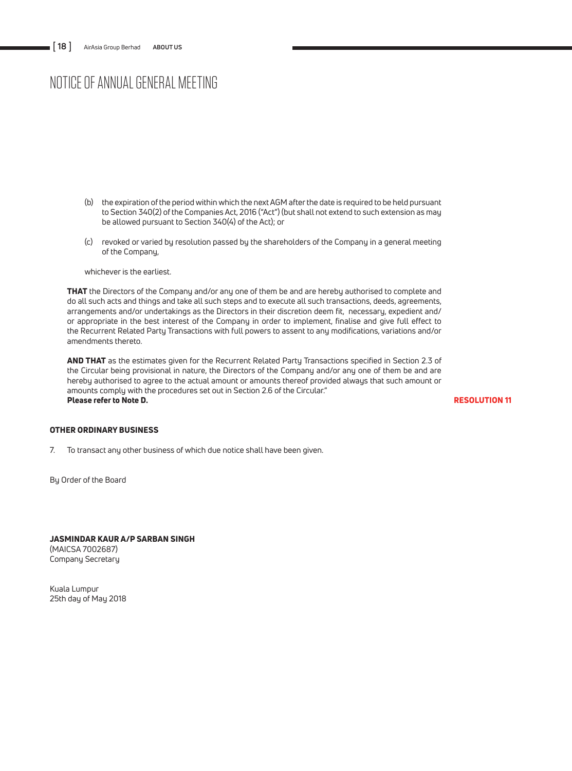## NOTICE OF ANNUAL GENERAL MEETING

- (b) the expiration of the period within which the next AGM after the date is required to be held pursuant to Section 340(2) of the Companies Act, 2016 ("Act") (but shall not extend to such extension as may be allowed pursuant to Section 340(4) of the Act); or
- (c) revoked or varied by resolution passed by the shareholders of the Company in a general meeting of the Company,

whichever is the earliest.

THAT the Directors of the Company and/or any one of them be and are hereby authorised to complete and do all such acts and things and take all such steps and to execute all such transactions, deeds, agreements, arrangements and/or undertakings as the Directors in their discretion deem fit, necessary, expedient and/ or appropriate in the best interest of the Company in order to implement, finalise and give full effect to the Recurrent Related Party Transactions with full powers to assent to any modifications, variations and/or amendments thereto.

AND THAT as the estimates given for the Recurrent Related Party Transactions specified in Section 2.3 of the Circular being provisional in nature, the Directors of the Company and/or any one of them be and are hereby authorised to agree to the actual amount or amounts thereof provided always that such amount or amounts comply with the procedures set out in Section 2.6 of the Circular." Please refer to Note D.

RESOLUTION 11

#### OTHER ORDINARY BUSINESS

7. To transact any other business of which due notice shall have been given.

By Order of the Board

JASMINDAR KAUR A/P SARBAN SINGH (MAICSA 7002687) Company Secretary

Kuala Lumpur 25th day of May 2018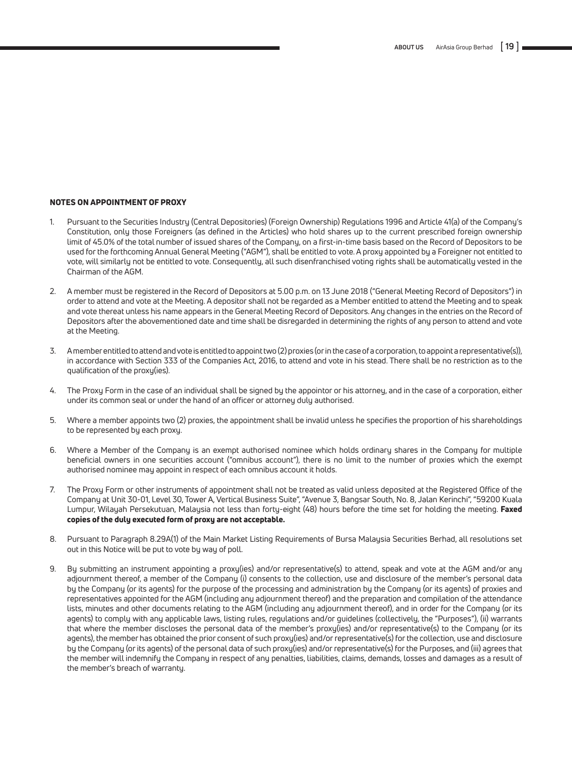#### NOTES ON APPOINTMENT OF PROXY

- 1. Pursuant to the Securities Industry (Central Depositories) (Foreign Ownership) Regulations 1996 and Article 41(a) of the Company's Constitution, only those Foreigners (as defined in the Articles) who hold shares up to the current prescribed foreign ownership limit of 45.0% of the total number of issued shares of the Company, on a first-in-time basis based on the Record of Depositors to be used for the forthcoming Annual General Meeting ("AGM"), shall be entitled to vote. A proxy appointed by a Foreigner not entitled to vote, will similarly not be entitled to vote. Consequently, all such disenfranchised voting rights shall be automatically vested in the Chairman of the AGM.
- 2. A member must be registered in the Record of Depositors at 5.00 p.m. on 13 June 2018 ("General Meeting Record of Depositors") in order to attend and vote at the Meeting. A depositor shall not be regarded as a Member entitled to attend the Meeting and to speak and vote thereat unless his name appears in the General Meeting Record of Depositors. Any changes in the entries on the Record of Depositors after the abovementioned date and time shall be disregarded in determining the rights of any person to attend and vote at the Meeting.
- 3. A member entitled to attend and vote is entitled to appoint two (2) proxies (or in the case of a corporation, to appoint a representative(s)), in accordance with Section 333 of the Companies Act, 2016, to attend and vote in his stead. There shall be no restriction as to the qualification of the proxy(ies).
- 4. The Proxy Form in the case of an individual shall be signed by the appointor or his attorney, and in the case of a corporation, either under its common seal or under the hand of an officer or attorney duly authorised.
- 5. Where a member appoints two (2) proxies, the appointment shall be invalid unless he specifies the proportion of his shareholdings to be represented by each proxy.
- 6. Where a Member of the Company is an exempt authorised nominee which holds ordinary shares in the Company for multiple beneficial owners in one securities account ("omnibus account"), there is no limit to the number of proxies which the exempt authorised nominee may appoint in respect of each omnibus account it holds.
- 7. The Proxy Form or other instruments of appointment shall not be treated as valid unless deposited at the Registered Office of the Company at Unit 30-01, Level 30, Tower A, Vertical Business Suite", "Avenue 3, Bangsar South, No. 8, Jalan Kerinchi", "59200 Kuala Lumpur, Wilayah Persekutuan, Malaysia not less than forty-eight (48) hours before the time set for holding the meeting. Faxed copies of the duly executed form of proxy are not acceptable.
- 8. Pursuant to Paragraph 8.29A(1) of the Main Market Listing Requirements of Bursa Malaysia Securities Berhad, all resolutions set out in this Notice will be put to vote by way of poll.
- 9. By submitting an instrument appointing a proxy(ies) and/or representative(s) to attend, speak and vote at the AGM and/or any adjournment thereof, a member of the Company (i) consents to the collection, use and disclosure of the member's personal data by the Company (or its agents) for the purpose of the processing and administration by the Company (or its agents) of proxies and representatives appointed for the AGM (including any adjournment thereof) and the preparation and compilation of the attendance lists, minutes and other documents relating to the AGM (including any adjournment thereof), and in order for the Company (or its agents) to comply with any applicable laws, listing rules, regulations and/or guidelines (collectively, the "Purposes"), (ii) warrants that where the member discloses the personal data of the member's proxy(ies) and/or representative(s) to the Company (or its agents), the member has obtained the prior consent of such proxy(ies) and/or representative(s) for the collection, use and disclosure by the Company (or its agents) of the personal data of such proxy(ies) and/or representative(s) for the Purposes, and (iii) agrees that the member will indemnify the Company in respect of any penalties, liabilities, claims, demands, losses and damages as a result of the member's breach of warranty.